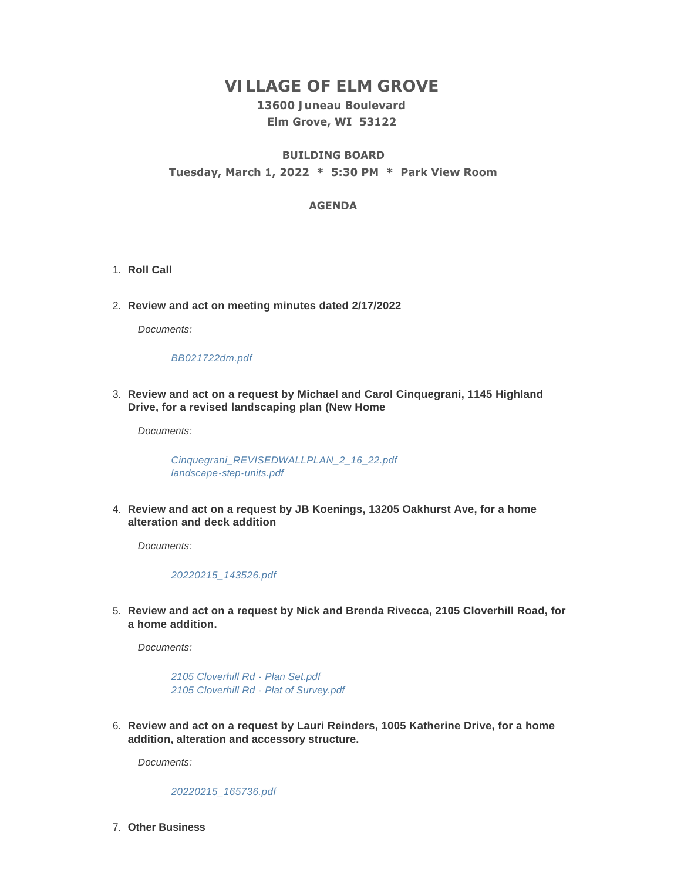# **VILLAGE OF ELM GROVE**

### **13600 Juneau Boulevard Elm Grove, WI 53122**

## **BUILDING BOARD Tuesday, March 1, 2022 \* 5:30 PM \* Park View Room**

#### **AGENDA**

- 1. Roll Call
- **Review and act on meeting minutes dated 2/17/2022** 2.

*Documents:*

#### *[BB021722dm.pdf](https://elmgrovewi.org/AgendaCenter/ViewFile/Item/11532?fileID=18068)*

**Review and act on a request by Michael and Carol Cinquegrani, 1145 Highland**  3. **Drive, for a revised landscaping plan (New Home**

*Documents:*

*[Cinquegrani\\_REVISEDWALLPLAN\\_2\\_16\\_22.pdf](https://elmgrovewi.org/AgendaCenter/ViewFile/Item/11533?fileID=18069) [landscape-step-units.pdf](https://elmgrovewi.org/AgendaCenter/ViewFile/Item/11533?fileID=18070)*

**Review and act on a request by JB Koenings, 13205 Oakhurst Ave, for a home**  4. **alteration and deck addition**

*Documents:*

*[20220215\\_143526.pdf](https://elmgrovewi.org/AgendaCenter/ViewFile/Item/11534?fileID=18071)*

**Review and act on a request by Nick and Brenda Rivecca, 2105 Cloverhill Road, for**  5. **a home addition.** 

*Documents:*

*[2105 Cloverhill Rd - Plan Set.pdf](https://elmgrovewi.org/AgendaCenter/ViewFile/Item/11535?fileID=18072) [2105 Cloverhill Rd - Plat of Survey.pdf](https://elmgrovewi.org/AgendaCenter/ViewFile/Item/11535?fileID=18073)*

**Review and act on a request by Lauri Reinders, 1005 Katherine Drive, for a home**  6. **addition, alteration and accessory structure.** 

*Documents:*

*[20220215\\_165736.pdf](https://elmgrovewi.org/AgendaCenter/ViewFile/Item/11536?fileID=18074)*

**Other Business** 7.